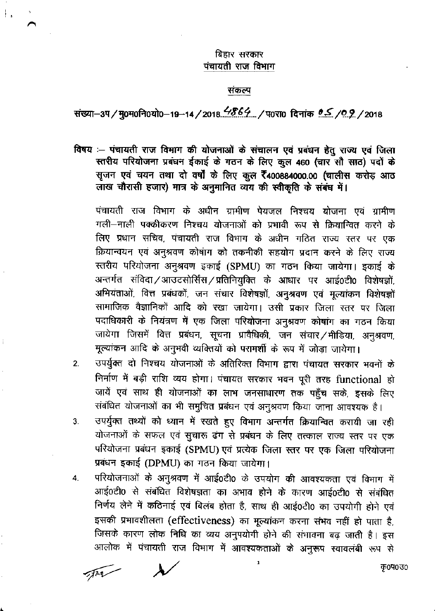## बिहार सरकार पंचायती राज विभाग

## संकल्प

संख्या-3प/मु०म०नि०यो०-19-14/2018. 4864... / प०रा० दिनांक 0.5 / 0.9. / 2018

विषय :- पंचायती राज विमाग की योजनाओं के संचालन एवं प्रबंधन हेतु राज्य एवं जिला स्तरीय परियोजना प्रबंघन ईकाई के गठन के लिए कुल 460 (चार सौ साठ) पदों के सूजन एवं चयन तथा दो वर्षों के लिए कुल रै400884000.00 (चालीस करोड़ आठ लाख चौरासी हजार) मात्र के अनुमानित व्यय की स्वीकृति के संबंध में।

पंचायती राज विभाग के अधीन ग्रामीण पेयजल निश्चय योजना एवं ग्रामीण गली-नाली पक्कीकरण निश्चय योजनाओं को प्रभावी रूप से क्रियान्वित करने के लिए प्रधान सचिव, पंचायती राज विभाग के अधीन गठित राज्य स्तर पर एक क्रियान्वयन एवं अनुश्रवण कोषांग को तकनीकी सहयोग प्रदान करने के लिए राज्य स्तरीय परियोजना अनुश्रवण इकाई (SPMU) का गठन किया जायेगा। इकाई के अन्तर्गत संविदा/आउटसोर्सिंस/प्रतिनियुक्ति के आधार पर आई०टी0 विशेषज्ञों, अभियंताओं, वित्त प्रबंधकों, जन संचार विशेषज्ञों, अनुश्रवण एवं मूल्यांकन विशेषज्ञों सामाजिक वैज्ञानिकों आदि को रखा जायेगा। उसी प्रकार जिला स्तर पर जिला पदाधिकारी के नियंत्रण में एक जिला परियोजना अनुश्रवण कोषांग का गठन किया जायेगा जिसमें वित्त प्रबंधन, सूचना प्रावैधिकी, जन संचार/मीडिया, अनुश्रवण, मूल्यांकन आदि के अनुभवी व्यक्तियों को परामर्शी के रूप में जोड़ा जायेगा।

- उपर्युक्त दो निश्चय योजनाओं के अतिरिक्त विभाग द्वारा पंचायत सरकार भवनों के  $2.$ निर्माण में बड़ी राशि व्यय होगा। पंचायत सरकार भवन पूरी तरह functional हो जायें एवं साथ ही योजनाओं का लाभ जनसाधारण तक पहुँच सके, इसके लिए संबंधित योजनाओं का भी समुचित प्रबंधन एवं अनुश्रवण किया जाना आवश्यक है।
- उपर्युक्त तथ्यों को ध्यान में रखते हुए विभाग अन्तर्गत क्रियान्वित करायी जा रही  $3<sub>1</sub>$ योजनाओं के सफल एवं सुचारू ढंग से प्रबंधन के लिए तत्काल राज्य स्तर पर एक परियोजना प्रबंधन इकाई (SPMU) एवं प्रत्येक जिला स्तर पर एक जिला परियोजना प्रबंधन इकाई (DPMU) का गठन किया जायेगा।
- परियोजनाओं के अनुश्रवण में आई0टी0 के उपयोग की आवश्यकता एवं विभाग में 4. आई0टी0 से संबंधित विशेषज्ञता का अभाव होने के कारण आई0टी0 से संबंधित निर्णय लेने में कठिनाई एवं बिलंब होता है, साथ ही आई0टी0 का उपयोगी होने एवं इसकी प्रभावशीलता (effectiveness) का मूल्यांकन करना संभव नहीं हो पाता है, जिसके कारण लोक निधि का व्यय अनुपयोगी होने की संभावना बढ़ जाती है। इस आलोक में पंचायती राज विभाग में आवश्यकताओं के अनुरूप स्वावलंबी रूप से

 $7722$ 

क0प0उ०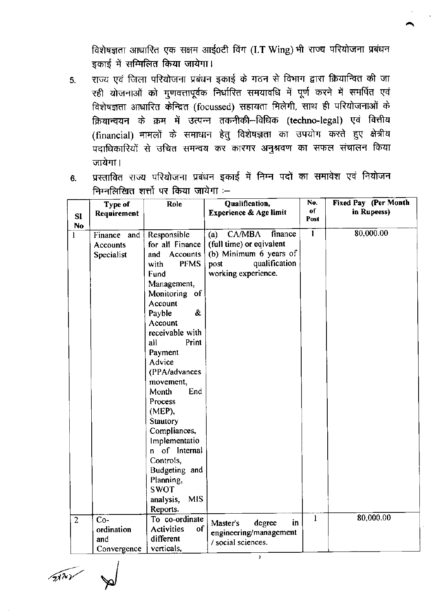विशेषज्ञता आधारित एक सक्षम आई0टी विंग (I.T Wing) भी राज्य परियोजना प्रबंधन इकाई में सम्मिलित किया जायेगा।

- 5. राज्य एवं जिला परियोजना प्रबंधन इकाई के गठन से विभाग द्वारा क्रियान्वित की जा रही योजनाओं को गुणवत्तापूर्वक निर्धारित समयावधि में पूर्ण करने में समर्पित एवं विशेषज्ञता आधारित केन्द्रित (focussed) सहायता मिलेगी, साथ ही परियोजनाओं के क्रियान्वयन के क्रम में उत्पन्न तकनीकी–विधिक (techno-legal) एवं वित्तीय (financial) मामलों के समाधान हेतु विशेषज्ञता का उपयोग करते हुए क्षेत्रीय पदाधिकारियों से उचित समन्वय कर कारगर अनुश्रवण का सफल संचालन किया जायेगा ।
- 6. प्रस्तावित राज्य परियोजना प्रबंधन इकाई में निम्न पदों का समावेश एवं नियोजन निम्नलिखित शत्तों पर किया जायेगा $:=$

|                | Type of         | Role                          | Qualification,           | No.          | Fixed Pay (Per Month |
|----------------|-----------------|-------------------------------|--------------------------|--------------|----------------------|
| SI             | Requirement     |                               | Experience & Age limit   | of<br>Post   | in Rupeess)          |
| N <sub>0</sub> |                 |                               |                          |              |                      |
| l              | Finance and     | Responsible                   | CA/MBA<br>finance<br>(a) | $\mathbf{I}$ | 80,000.00            |
|                | <b>Accounts</b> | for all Finance               | (full time) or eqivalent |              |                      |
|                | Specialist      | and Accounts                  | (b) Minimum 6 years of   |              |                      |
|                |                 | <b>PFMS</b><br>with           | qualification<br>post    |              |                      |
|                |                 | Fund                          | working experience.      |              |                      |
|                |                 | Management,                   |                          |              |                      |
|                |                 | Monitoring of                 |                          |              |                      |
|                |                 | Account                       |                          |              |                      |
|                |                 | &<br>Payble                   |                          |              |                      |
|                |                 | Account                       |                          |              |                      |
|                |                 | receivable with               |                          |              |                      |
|                |                 | all<br>Print                  |                          |              |                      |
|                |                 | Payment                       |                          |              |                      |
|                |                 | Advice                        |                          |              |                      |
|                |                 | (PPA/advances                 |                          |              |                      |
|                |                 | movement,                     |                          |              |                      |
|                |                 | End<br>Month                  |                          |              |                      |
|                |                 | Process                       |                          |              |                      |
|                |                 | (MEP),                        |                          |              |                      |
|                |                 | <b>Stautory</b>               |                          |              |                      |
|                |                 | Compliances,<br>Implementatio |                          |              |                      |
|                |                 | n of Internal                 |                          |              |                      |
|                |                 | Controls,                     |                          |              |                      |
|                |                 | Budgeting and                 |                          |              |                      |
|                |                 | Planning,                     |                          |              |                      |
|                |                 | <b>SWOT</b>                   |                          |              |                      |
|                |                 | <b>MIS</b><br>analysis,       |                          |              |                      |
|                |                 | Reports.                      |                          |              |                      |
| $\overline{2}$ | $Co-$           | To co-ordinate                |                          | $\mathbf{1}$ | 80,000.00            |
|                | ordination      | of<br><b>Activities</b>       | degree<br>in<br>Master's |              |                      |
|                | and             | different                     | engineering/management   |              |                      |
|                | Convergence     | verticals,                    | / social sciences.       |              |                      |
|                |                 |                               | $\overline{2}$           |              |                      |

and in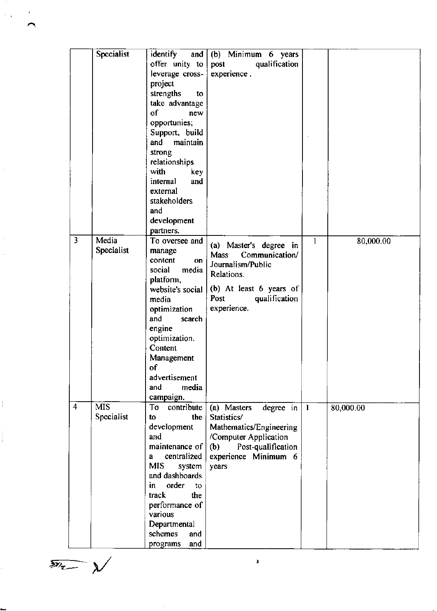|                | Specialist       | identify<br>and $\vert$ | (b) Minimum 6 years       |                 |           |
|----------------|------------------|-------------------------|---------------------------|-----------------|-----------|
|                |                  | offer unity to          | qualification<br>post     |                 |           |
|                |                  |                         | experience.               |                 |           |
|                |                  | leverage cross-         |                           |                 |           |
|                |                  | project                 |                           |                 |           |
|                |                  | strengths<br>to         |                           |                 |           |
|                |                  | take advantage          |                           |                 |           |
|                |                  | of<br>new               |                           |                 |           |
|                |                  | opportunies;            |                           |                 |           |
|                |                  | Support, build          |                           |                 |           |
|                |                  | and<br>maintain         |                           |                 |           |
|                |                  | strong                  |                           |                 |           |
|                |                  | relationships           |                           |                 |           |
|                |                  | with<br>key             |                           |                 |           |
|                |                  | internal<br>and         |                           |                 |           |
|                |                  | external                |                           |                 |           |
|                |                  | stakeholders            |                           |                 |           |
|                |                  |                         |                           |                 |           |
|                |                  | and                     |                           |                 |           |
|                |                  | development             |                           |                 |           |
|                |                  | partners.               |                           |                 |           |
| 3              | Media            | To oversee and          | (a) Master's degree in    | $\mathbf{1}$    | 80,000.00 |
|                | Specialist       | manage                  | Communication/<br>Mass    |                 |           |
|                |                  | content<br>on           | Journalism/Public         |                 |           |
|                |                  | social<br>media         | Relations.                |                 |           |
|                |                  | platform,               |                           |                 |           |
|                |                  | website's social        | (b) At least 6 years of   |                 |           |
|                |                  | media                   | Post<br>qualification     |                 |           |
|                |                  | optimization            | experience.               |                 |           |
|                |                  | and<br>search           |                           |                 |           |
|                |                  | engine                  |                           |                 |           |
|                |                  | optimization.           |                           |                 |           |
|                |                  | Content                 |                           |                 |           |
|                |                  |                         |                           |                 |           |
|                |                  | Management              |                           |                 |           |
|                |                  | of                      |                           |                 |           |
|                |                  | advertisement           |                           |                 |           |
|                |                  | media<br>and            |                           |                 |           |
|                |                  | campaign.               |                           |                 |           |
| $\overline{4}$ | $\overline{MIS}$ | contribute<br>To        | (a) Masters<br>degree in  | $\vert \ \vert$ | 80,000.00 |
|                | Specialist       | the<br>to               | Statistics/               |                 |           |
|                |                  | development             | Mathematics/Engineering   |                 |           |
|                |                  | and                     | /Computer Application     |                 |           |
|                |                  | maintenance of          | (b)<br>Post-qualification |                 |           |
|                |                  | centralized<br>a        | experience Minimum 6      |                 |           |
|                |                  | MIS.<br>system          | years                     |                 |           |
|                |                  | and dashboards          |                           |                 |           |
|                |                  | order<br>in I<br>to     |                           |                 |           |
|                |                  | the<br>track            |                           |                 |           |
|                |                  |                         |                           |                 |           |
|                |                  | performance of          |                           |                 |           |
|                |                  | various                 |                           |                 |           |
|                |                  | Departmental            |                           |                 |           |
|                |                  | schemes<br>and          |                           |                 |           |
|                |                  | and<br>programs         |                           |                 |           |

 $\overline{\mathscr{D}_{2}}$ 

 $\frac{1}{2}$ 

 $\frac{1}{2}$  ,

 $\ddot{\cdot}$ 

3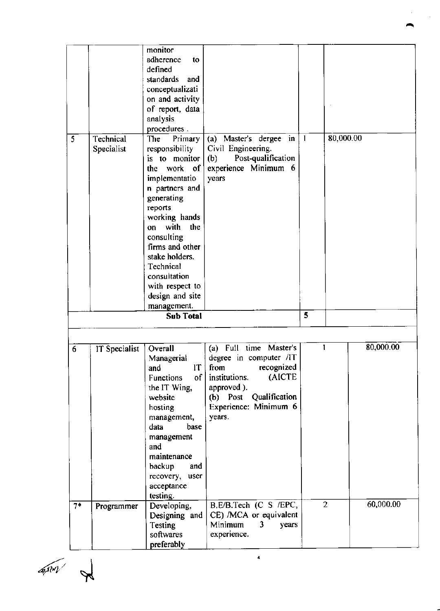|      |               | monitor                |                           |   |                |           |
|------|---------------|------------------------|---------------------------|---|----------------|-----------|
|      |               | adherence<br>to        |                           |   |                |           |
|      |               | defined                |                           |   |                |           |
|      |               | standards and          |                           |   |                |           |
|      |               | conceptualizati        |                           |   |                |           |
|      |               | on and activity        |                           |   |                |           |
|      |               | of report, data        |                           |   |                |           |
|      |               | analysis               |                           |   |                |           |
|      |               | procedures.            |                           |   |                |           |
| 5    | Technical     | The<br>Primary         | (a) Master's dergee in    | 1 | 80,000.00      |           |
|      | Specialist    | responsibility         | Civil Engineering.        |   |                |           |
|      |               | is to monitor          | Post-qualification<br>(b) |   |                |           |
|      |               | the work of            | experience Minimum 6      |   |                |           |
|      |               | implementatio          | years                     |   |                |           |
|      |               | n partners and         |                           |   |                |           |
|      |               | generating             |                           |   |                |           |
|      |               | reports                |                           |   |                |           |
|      |               | working hands          |                           |   |                |           |
|      |               | on with the            |                           |   |                |           |
|      |               | consulting             |                           |   |                |           |
|      |               | firms and other        |                           |   |                |           |
|      |               | stake holders.         |                           |   |                |           |
|      |               | Technical              |                           |   |                |           |
|      |               | consultation           |                           |   |                |           |
|      |               | with respect to        |                           |   |                |           |
|      |               | design and site        |                           |   |                |           |
|      |               | management.            |                           |   |                |           |
|      |               | <b>Sub Total</b>       |                           | 5 |                |           |
|      |               |                        |                           |   |                |           |
|      |               |                        |                           |   |                |           |
| 6    | IT Specialist | Overall                | (a) Full time Master's    |   | ı              | 80,000.00 |
|      |               | Managerial             | degree in computer /IT    |   |                |           |
|      |               | $\mathbf{I}$<br>and    | from recognized           |   |                |           |
|      |               | of<br><b>Functions</b> | (AICTE<br>institutions.   |   |                |           |
|      |               | the IT Wing,           | approved ).               |   |                |           |
|      |               | website                | (b) Post Qualification    |   |                |           |
|      |               | hosting                | Experience: Minimum 6     |   |                |           |
|      |               | management,            | years.                    |   |                |           |
|      |               | data<br>base           |                           |   |                |           |
|      |               | management             |                           |   |                |           |
|      |               | and                    |                           |   |                |           |
|      |               | maintenance            |                           |   |                |           |
|      |               | backup<br>and          |                           |   |                |           |
|      |               |                        |                           |   |                |           |
|      |               | recovery, user         |                           |   |                |           |
|      |               | acceptance             |                           |   |                |           |
|      |               | testing.               |                           |   | $\overline{2}$ | 60,000.00 |
| $7*$ | Programmer    | Developing,            | B.E/B.Tech (C S /EPC,     |   |                |           |
|      |               | Designing and          | CE) /MCA or equivalent    |   |                |           |
|      |               | Testing                | Minimum<br>3<br>years     |   |                |           |
|      |               | softwares              | experience.               |   |                |           |
|      |               | preferably             |                           |   |                |           |

4./ ,l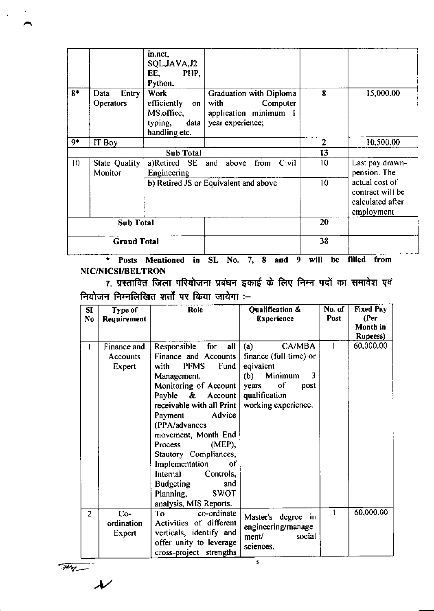|                    |                                   | in.net,<br>SQL, JAVA, J2<br>EE,<br>PHP,<br>Python.                           |                                                                                                 |                |                                                                      |
|--------------------|-----------------------------------|------------------------------------------------------------------------------|-------------------------------------------------------------------------------------------------|----------------|----------------------------------------------------------------------|
| $8*$               | <b>Entry</b><br>Data<br>Operators | <b>Work</b><br>efficiently on<br>MS.office,<br>typing, data<br>handling etc. | <b>Graduation with Diploma</b><br>with<br>Computer<br>application minimum 1<br>year experience; | 8              | 15,000.00                                                            |
| 9*                 | IT Boy                            |                                                                              |                                                                                                 | $\overline{2}$ | 10,500.00                                                            |
|                    |                                   | <b>Sub Total</b>                                                             |                                                                                                 | 13             |                                                                      |
| 10                 | State Quality<br>Monitor          | a)Retired SE<br>Engineering                                                  | above from Civil<br>and                                                                         | 10             | Last pay drawn-<br>pension. The                                      |
|                    |                                   |                                                                              | b) Retired JS or Equivalent and above                                                           | 10             | actual cost of<br>contract will be<br>calculated after<br>employment |
| <b>Sub Total</b>   |                                   |                                                                              |                                                                                                 | 20             |                                                                      |
| <b>Grand Total</b> |                                   |                                                                              |                                                                                                 | 38             |                                                                      |

\* Posts Mentioned in SL No. 7, 8 and 9 will be filled from NIC/NICSI/BELTRON

7. प्रस्तावित जिला परियोजना प्रबंधन इकाई के लिए निम्न पदों का समावेश एवं नियोजन निम्नलिखित शर्तों पर किया जायेगा :-

| SI<br>N <sub>0</sub> | Type of<br>Requirement            | Role                                                                                                                                                                                                                                                                                                                                                                                                                               | Qualification &<br><b>Experience</b>                                                                                                       | No. of<br>Post | <b>Fixed Pay</b><br>(Per)<br>Month in<br><b>Rupeess</b> ) |
|----------------------|-----------------------------------|------------------------------------------------------------------------------------------------------------------------------------------------------------------------------------------------------------------------------------------------------------------------------------------------------------------------------------------------------------------------------------------------------------------------------------|--------------------------------------------------------------------------------------------------------------------------------------------|----------------|-----------------------------------------------------------|
| ı                    | Finance and<br>Accounts<br>Expert | Responsible<br>for<br>all<br>Finance and Accounts<br><b>PFMS</b><br>Fund<br>with<br>Management,<br>Monitoring of Account<br>Payble & Account<br>receivable with all Print  <br>Advice<br>Payment<br>(PPA/advances<br>movement, Month End<br>$(MEP)$ ,<br><b>Process</b><br>Stautory Compliances,<br>Implementation<br>of<br>Internal<br>Controls,<br><b>Budgeting</b><br>and<br>Planning,<br><b>SWOT</b><br>analysis, MIS Reports. | CA/MBA<br>(a)<br>finance (full time) or<br>eqivalent<br>Minimum<br>3<br>(b)<br>of<br>years<br>post<br>qualification<br>working experience. |                | 60,000.00                                                 |
| $\overline{2}$       | $Co-$<br>ordination<br>Expert     | To<br>co-ordinate<br>Activities of different<br>verticals, identify and<br>offer unity to leverage<br>cross-project strengths                                                                                                                                                                                                                                                                                                      | Master's degree<br>-in<br>engineering/manage<br>ment/<br>social<br>sciences.<br>5                                                          | $\mathbf{1}$   | 60,000.00                                                 |

 $\frac{1}{\sqrt{2}}$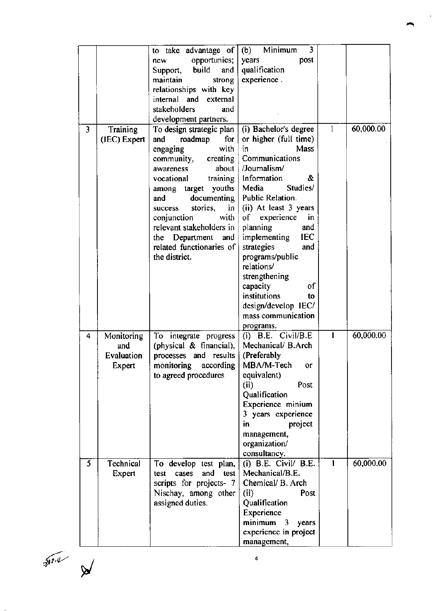|   |              | to take advantage of         | Minimum<br>$\overline{3}$<br>(b) |              |           |
|---|--------------|------------------------------|----------------------------------|--------------|-----------|
|   |              | opportunies;<br>new          | post<br>years                    |              |           |
|   |              | build<br>and  <br>Support,   | qualification                    |              |           |
|   |              | maintain<br>strong           | experience.                      |              |           |
|   |              | relationships with key       |                                  |              |           |
|   |              | internal and external        |                                  |              |           |
|   |              | stakeholders<br>and          |                                  |              |           |
|   |              | development partners.        |                                  |              |           |
| 3 | Training     | To design strategic plan     | (i) Bachelor's degree            | $\mathbf{1}$ | 60,000.00 |
|   | (IEC) Expert | roadmap<br>for<br>and        | or higher (full time)            |              |           |
|   |              | with<br>engaging             | Mass<br>in                       |              |           |
|   |              | creating<br>community,       | Communications                   |              |           |
|   |              | about  <br>awareness         | /Journalism/                     |              |           |
|   |              | training<br>vocational       | Information<br>&.                |              |           |
|   |              | among target youths          | Studies/<br>Media                |              |           |
|   |              | documenting<br>and           | Public Relation.                 |              |           |
|   |              | stories,<br>in<br>success    | (ii) At least 3 years            |              |           |
|   |              | with<br>conjunction          | experience<br>of<br>in           |              |           |
|   |              | relevant stakeholders in     | planning<br>and                  |              |           |
|   |              | Department<br>and<br>the     | implementing<br><b>IEC</b>       |              |           |
|   |              | related functionaries of     | strategies<br>and                |              |           |
|   |              | the district.                | programs/public                  |              |           |
|   |              |                              | relations/                       |              |           |
|   |              |                              | strengthening                    |              |           |
|   |              |                              | of<br>capacity                   |              |           |
|   |              |                              | institutions<br>to               |              |           |
|   |              |                              | design/develop IEC/              |              |           |
|   |              |                              | mass communication               |              |           |
|   |              |                              | programs.                        |              |           |
| 4 | Monitoring   | To integrate progress        | $(i)$ B.E. Civil/B.E.            |              | 60,000.00 |
|   | and          | (physical $\&$ financial),   | Mechanical/ B.Arch               |              |           |
|   | Evaluation   | processes and results        | (Preferably                      |              |           |
|   | Expert       | according<br>monitoring      | MBA/M-Tech<br>or                 |              |           |
|   |              | to agreed procedures         | equivalent)                      |              |           |
|   |              |                              | (ii)<br>Post                     |              |           |
|   |              |                              | Qualification                    |              |           |
|   |              |                              | Experience minium                |              |           |
|   |              |                              | 3 years experience               |              |           |
|   |              |                              | in<br>project                    |              |           |
|   |              |                              | management,                      |              |           |
|   |              |                              | organization/                    |              |           |
|   |              |                              | consultancy.                     |              |           |
| 5 | Technical    | To develop test plan,        | $(i)$ B.E. Civil/ B.E.           | $\mathbf{1}$ | 60,000.00 |
|   | Expert       | and<br>cases<br>test<br>test | Mechanical/B.E.                  |              |           |
|   |              | scripts for projects- 7      | Chemical/ B. Arch                |              |           |
|   |              | Nischay, among other         | (ii)<br>Post                     |              |           |
|   |              | assigned duties.             | Qualification                    |              |           |
|   |              |                              | Experience                       |              |           |
|   |              |                              | minimum <sub>3</sub><br>years    |              |           |
|   |              |                              | experience in project            |              |           |
|   |              |                              | management,                      |              |           |

 ${\tilde Z}^{\{2\}^n}$ 

/

 $\ddot{\phantom{a}}$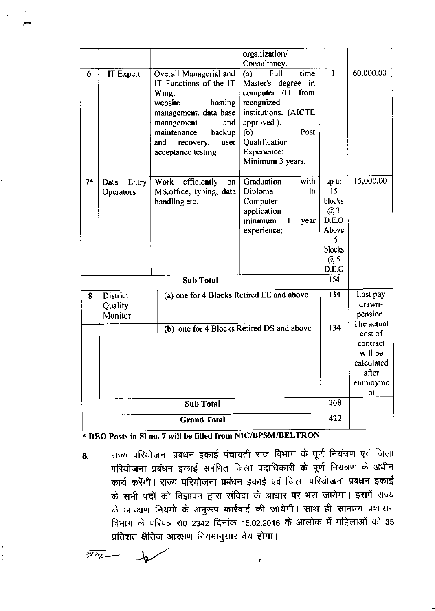|      |                                                                             |                                                                                                                                                                                                           | organization/                                                                                                                                                                          |                                                                               |                                                                                       |
|------|-----------------------------------------------------------------------------|-----------------------------------------------------------------------------------------------------------------------------------------------------------------------------------------------------------|----------------------------------------------------------------------------------------------------------------------------------------------------------------------------------------|-------------------------------------------------------------------------------|---------------------------------------------------------------------------------------|
|      |                                                                             |                                                                                                                                                                                                           | Consultancy.                                                                                                                                                                           |                                                                               |                                                                                       |
| 6    | IT Expert                                                                   | Overall Managerial and<br>IT Functions of the IT<br>Wing,<br>website<br>hosting<br>management, data base<br>management<br>and<br>maintenance<br>backup<br>and<br>recovery,<br>user<br>acceptance testing. | time<br>Full<br>(a)<br>Master's degree in<br>computer /IT from<br>recognized<br>institutions. (AICTE<br>approved ).<br>Post<br>(b)<br>Qualification<br>Experience:<br>Minimum 3 years. | $\mathbf{I}$                                                                  | 60,000.00                                                                             |
| $7*$ | Entry<br>Data<br>Operators                                                  | efficiently<br>Work<br>on<br>MS.office, typing, data<br>handling etc.                                                                                                                                     | with<br>Graduation<br>in<br>Diploma<br>Computer<br>application<br>minimum<br>year<br>1<br>experience;                                                                                  | up to<br>15<br>blocks<br>@3<br>D.E.O<br>Above<br>15<br>blocks<br>@ 5<br>D.E.O | 15,000.00                                                                             |
|      |                                                                             | Sub Total                                                                                                                                                                                                 |                                                                                                                                                                                        | 154                                                                           |                                                                                       |
| 8    | (a) one for 4 Blocks Retired EE and above<br>District<br>Quality<br>Monitor |                                                                                                                                                                                                           |                                                                                                                                                                                        | 134                                                                           | Last pay<br>drawn-<br>pension.                                                        |
|      |                                                                             | (b) one for 4 Blocks Retired DS and above                                                                                                                                                                 |                                                                                                                                                                                        | 134                                                                           | The actual<br>cost of<br>contract<br>will be<br>calculated<br>after<br>employme<br>nt |
|      |                                                                             | <b>Sub Total</b>                                                                                                                                                                                          |                                                                                                                                                                                        | 268                                                                           |                                                                                       |
|      |                                                                             | <b>Grand Total</b>                                                                                                                                                                                        |                                                                                                                                                                                        | 422                                                                           |                                                                                       |

\* DEO Posts in SI no. 7 will be filled from NIC/BPSM/BELTRON

राज्य परियोजना प्रबंधन इकाई पंचायती राज विभाग के पूर्ण नियंत्रण एवं जिला 8. परियोजना प्रबंधन इकाई संबंधित जिला पदाधिकारी के पूर्ण नियंत्रण के अधीन कार्य करेंगी । राज्य परियोजना प्रबंधन इकाई एवं जिला परियोजना प्रबंधन इकाई के सभी पदों को विज्ञापन द्वारा संविदा के आधार पर भरा जायेगा। इसमें राज्य के आरक्षण नियमों के अनुरूप कार्रवाई की जायेगी। साथ ही सामान्य प्रशासन विभाग के परिपत्र सं0 2342 दिनांक 15.02.2016 के आलोक में महिलाओं को 35 प्रतिशत क्षैतिज आरक्षण नियमानुसार देय होगा।

 $\overline{z}$ 

- לידאי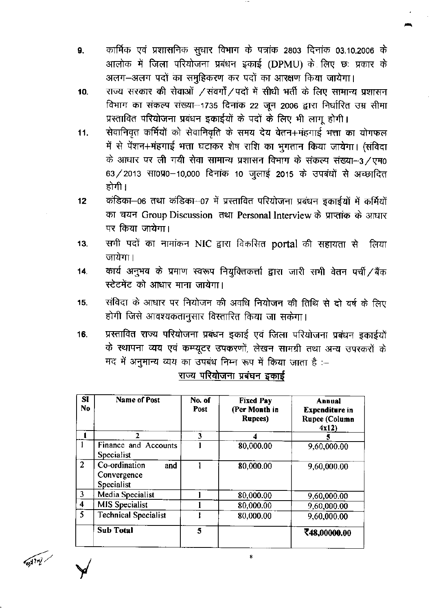- कार्मिक एवं प्रशासनिक सुधार विभाग के पत्रांक 2803 दिनांक 03.10.2006 के 9. आलोक में जिला परियोजना प्रबंधन इकाई (DPMU) के लिए छः प्रकार के अलग-अलग पदों का समूहिकरण कर पदों का आरक्षण किया जायेगा।
- राज्य सरकार की सेवाओं /संवर्गों/पदों में सीधी भर्ती के लिए सामान्य प्रशासन 10. विभाग का संकल्प संख्या-1735 दिनांक 22 जून 2006 द्वारा निर्धारित उम्र सीमा प्रस्तावित परियोजना प्रबंधन इकाईयों के पदों के लिए भी लागू होगी।
- सेवानिवृत कर्मियों को सेवानिवृति के समय देय वेतन+मंहगाई भत्ता का योगफल 11. में से पेंशन+मंहगाई भत्ता घटाकर शेष राशि का भुगतान किया जायेगा। (संविदा के आधार पर ली गयी सेवा सामान्य प्रशासन विभाग के संकल्प संख्या-3/एम0 63/2013 सा0प्र0-10,000 दिनांक 10 जुलाई 2015 के उपबंधों से अच्छादित होगी ।
- कंडिका-06 तथा कंडिका-07 में प्रस्तावित परियोजना प्रबंधन इकाईयों में कर्मियों  $12$ का चयन Group Discussion तथा Personal Interview के प्राप्तांक के आधार पर किया जायेगा।
- सभी पदों का नामांकन NIC द्वारा विकसित portal की सहायता से  $13.$ लिया जायेगा।
- कार्य अनुभव के प्रमाण स्वरूप नियुक्तिकर्त्ता द्वारा जारी सभी वेतन पर्ची/बैंक  $14.$ स्टेटमेंट को आधार माना जायेगा।
- संविदा के आधार पर नियोजन की अवधि नियोजन की तिथि से दो वर्ष के लिए 15. होगी जिसे आवश्यकतानुसार विस्तारित किया जा सकेगा।
- प्रस्तावित राज्य परियोजना प्रबंधन इकाई एवं जिला परियोजना प्रबंधन इकाईयों 16. के स्थापना व्यय एवं कम्प्यूटर उपकरणों, लेखन सामग्री तथा अन्य उपस्करों के मद में अनुमान्य व्यय का उपबंध निम्न रूप में किया जाता है :-

| SI<br>No                | <b>Name of Post</b>                               | No. of<br>Post | <b>Fixed Pay</b><br>(Per Month in<br><b>Rupees</b> ) | Annual<br><b>Expenditure</b> in<br>Rupee (Column<br>4x12 |
|-------------------------|---------------------------------------------------|----------------|------------------------------------------------------|----------------------------------------------------------|
|                         |                                                   | 3              |                                                      | 5                                                        |
|                         | Finance and Accounts<br>Specialist                |                | 80,000.00                                            | 9,60,000.00                                              |
| $\overline{2}$          | Co-ordination<br>and<br>Convergence<br>Specialist |                | 80,000.00                                            | 9,60,000.00                                              |
| 3                       | Media Specialist                                  |                | 80,000.00                                            | 9,60,000.00                                              |
| $\overline{\mathbf{4}}$ | MIS Specialist                                    |                | 80,000.00                                            | 9,60,000.00                                              |
| $\overline{5}$          | <b>Technical Specialist</b>                       |                | 80,000.00                                            | 9,60,000.00                                              |
|                         | <b>Sub Total</b>                                  | 5              |                                                      | ₹48,00000.00                                             |

राज्य परियोजना प्रबंधन इकाई

**Capital**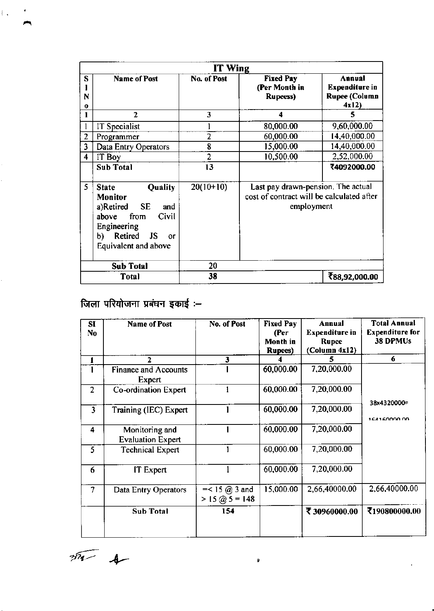|              |                                                                                                                                                                       | IT Wing     |                                                                                               |                                                                 |
|--------------|-----------------------------------------------------------------------------------------------------------------------------------------------------------------------|-------------|-----------------------------------------------------------------------------------------------|-----------------------------------------------------------------|
| S<br>N<br>0  | <b>Name of Post</b>                                                                                                                                                   | No. of Post | <b>Fixed Pay</b><br>(Per Month in<br><b>Rupeess)</b>                                          | Annual<br><b>Expenditure in</b><br><b>Rupee (Column</b><br>4x12 |
| 1            | $\overline{2}$                                                                                                                                                        | 3           | 4                                                                                             | 5                                                               |
|              | IT Specialist                                                                                                                                                         |             | 80,000.00                                                                                     | 9,60,000.00                                                     |
| 2            | Programmer                                                                                                                                                            | 2           | 60,000.00                                                                                     | 14,40,000.00                                                    |
| 3            | Data Entry Operators                                                                                                                                                  | 8           | 15,000.00                                                                                     | 14,40,000.00                                                    |
| 4            | IT Boy                                                                                                                                                                | 2           | 10,500.00                                                                                     | 2,52,000.00                                                     |
|              | <b>Sub Total</b>                                                                                                                                                      | 13          |                                                                                               | ₹4092000.00                                                     |
| 5            | Quality<br><b>State</b><br>Monitor<br><b>SE</b><br>a)Retired<br>and<br>from<br>Civil<br>above<br>Engineering<br>Retired JS<br>b).<br>$\alpha$<br>Equivalent and above | $20(10+10)$ | Last pay drawn-pension. The actual<br>cost of contract will be calculated after<br>employment |                                                                 |
|              | <b>Sub Total</b>                                                                                                                                                      | 20          |                                                                                               |                                                                 |
| <b>Total</b> |                                                                                                                                                                       | 38          |                                                                                               | ₹88,92,000.00                                                   |

## जिला परियोजना प्रबंधन इकाई :–

 $\mathbf{i}$ ,

| SI<br>No       | <b>Name of Post</b>                        | No. of Post                                                                   | <b>Fixed Pay</b><br>(Per<br>Month in<br><b>Rupees</b> ) | Annual<br><b>Expenditure</b> in<br><b>Rupee</b><br>(Column 4x12) | <b>Total Annual</b><br><b>Expenditure for</b><br>38 DPMUs |
|----------------|--------------------------------------------|-------------------------------------------------------------------------------|---------------------------------------------------------|------------------------------------------------------------------|-----------------------------------------------------------|
| 1              | 2                                          | 3                                                                             |                                                         | 5                                                                | 6                                                         |
|                | <b>Finance and Accounts</b><br>Expert      |                                                                               | 60,000.00                                               | 7,20,000.00                                                      |                                                           |
| $\overline{2}$ | Co-ordination Expert                       |                                                                               | 60,000.00                                               | 7,20,000.00                                                      | 38x4320000=                                               |
| 3              | Training (IEC) Expert                      |                                                                               | 60,000.00                                               | 7,20,000.00                                                      | 164160000.00                                              |
| 4              | Monitoring and<br><b>Evaluation Expert</b> |                                                                               | 60,000.00                                               | 7,20,000.00                                                      |                                                           |
| 5              | <b>Technical Expert</b>                    |                                                                               | 60,000.00                                               | 7,20,000.00                                                      |                                                           |
| 6              | IT Expert                                  |                                                                               | 60,000.00                                               | 7,20,000.00                                                      |                                                           |
| 7              | Data Entry Operators                       | $=< 15 \, (\hat{\alpha}) \, 3$ and<br>$> 15 \text{ } \textcircled{a} 5 = 148$ | 15,000.00                                               | 2,66,40000.00                                                    | 2,66,40000.00                                             |
|                | <b>Sub Total</b>                           | 154                                                                           |                                                         | ₹30960000.00                                                     | ₹190800000.00                                             |

 $\pmb{\mathfrak{g}}$ 

 $\overline{m}$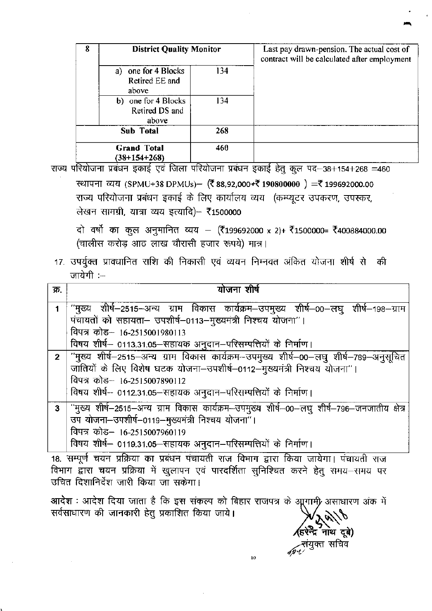| 8 | <b>District Quality Monitor</b>                |     | Last pay drawn-pension. The actual cost of<br>contract will be calculated after employment |
|---|------------------------------------------------|-----|--------------------------------------------------------------------------------------------|
|   | a) one for 4 Blocks<br>Retired EE and<br>above | 134 |                                                                                            |
|   | b) one for 4 Blocks<br>Retired DS and<br>above | 134 |                                                                                            |
|   | Sub Total                                      | 268 |                                                                                            |
|   | <b>Grand Total</b><br>$(38+154+268)$           | 460 |                                                                                            |

राज्य परियोजना प्रबंधन इकाई एवं जिला परियोजना प्रबंधन इकाई हेतु कुल पद-98+154+268 =460 स्थापना व्यय (SPMU+38 DPMUs)- (₹88,92,000+₹190800000) = ₹199692000.00 राज्य परियोजना प्रबंधन इकाई के लिए कार्यालय व्यय (कम्प्यूटर उपकरण, उपस्कर, लेखन सामग्री, यात्रा व्यय इत्यादि)- ₹1500000

दो वर्षो का कुल अनुमानित व्यय – (₹199692000 x 2)+ ₹1500000= ₹400884000.00 (चालीस करोड़ आठ लाख चौरासी हजार रूपये) मात्र।

## 17. उपर्युक्त प्रावधानित राशि की निकासी एवं व्ययन निम्नवत अंकित योजना शीर्ष से की जायेगी :--

| क्र.           | योजना शीर्ष                                                                                                                                                                                                                                                        |
|----------------|--------------------------------------------------------------------------------------------------------------------------------------------------------------------------------------------------------------------------------------------------------------------|
|                | "मुख्य शीर्ष—2515—अन्य ग्राम विकास कार्यक्रम—उपमुख्य शीर्ष—00—लघु शीर्ष—198—ग्राम<br>पंचायतों को सहायता- उपशीर्ष-0113-मुख्यमंत्री निश्चय योजना"।<br>विपत्र कोड– 16-2515001980113<br>विषय शीर्ष– 0113.31.05–सहायक अनुदान–परिसम्पत्तियों के निर्माण।                 |
| $\overline{2}$ | ''मुख्य शीर्ष–2515–अन्य ग्राम विकास कार्यक्रम–उपमुख्य शीर्ष–00–लघु शीर्ष–789–अनुसूचित<br>जातियों के लिए विशेष घटक योजना-उपशीर्ष-0112-मुख्यमंत्री निश्चय योजना"।<br>विपत्र कोड- 16-2515007890112<br>विषय शीर्ष-- 0112.31.05-सहायक अनुदान-परिसम्पत्तियों के निर्माण। |
| $\mathbf{3}$   | ं "मुख्य शीर्ष—2515—अन्य ग्राम विकास कार्यक्रम—उपमुख्य शीर्ष—00—लघु शीर्ष—796—जनजातीय क्षेत्र<br>उप योजना-उपशीर्ष-0119-मुख्यमंत्री निश्चय योजना"।<br>विपत्र कोड– 16-2515007960119<br>विषय शीर्ष- 0119.31.05-सहायक अनुदान-परिसम्पत्तियों के निर्माण।                |

18. सम्पूर्ण चयन प्रक्रिया का प्रबंधन पंचायती राज विभाग द्वारा किया जायेगा। पंचायती राज विभाग द्वारा चयन प्रक्रिया में खुलापन एवं पारदर्शिता सुनिश्चित करने हेतु समय–समय पर उचित दिशानिर्देश जारी किया जा सकेगा।

आदेश : आदेश दिया जाता है कि इस संकल्प को बिहार राजपत्र के आुगामी असाधारण अंक में सर्वसाधारण की जानकारी हेतु प्रकाशित किया जाये।

द्र नाथ दुबे) ्रसंयुक्त सचिव<br>अप्य

 $10$